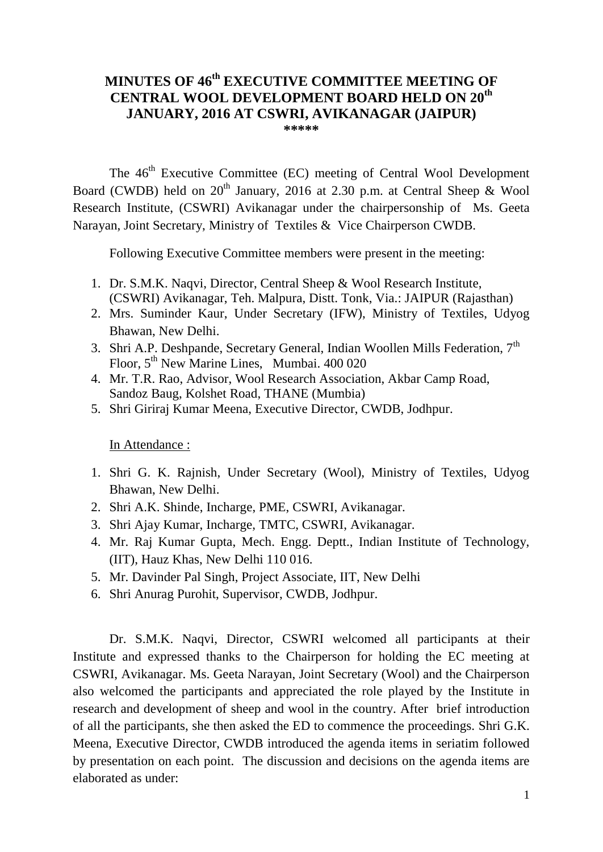# **MINUTES OF 46 th EXECUTIVE COMMITTEE MEETING OF CENTRAL WOOL DEVELOPMENT BOARD HELD ON 20th JANUARY, 2016 AT CSWRI, AVIKANAGAR (JAIPUR)**

**\*\*\*\*\***

The 46<sup>th</sup> Executive Committee (EC) meeting of Central Wool Development Board (CWDB) held on  $20<sup>th</sup>$  January, 2016 at 2.30 p.m. at Central Sheep & Wool Research Institute, (CSWRI) Avikanagar under the chairpersonship of Ms. Geeta Narayan, Joint Secretary, Ministry of Textiles & Vice Chairperson CWDB.

Following Executive Committee members were present in the meeting:

- 1. Dr. S.M.K. Naqvi, Director, Central Sheep & Wool Research Institute, (CSWRI) Avikanagar, Teh. Malpura, Distt. Tonk, Via.: JAIPUR (Rajasthan)
- 2. Mrs. Suminder Kaur, Under Secretary (IFW), Ministry of Textiles, Udyog Bhawan, New Delhi.
- 3. Shri A.P. Deshpande, Secretary General, Indian Woollen Mills Federation, 7<sup>th</sup> Floor, 5<sup>th</sup> New Marine Lines, Mumbai. 400 020
- 4. Mr. T.R. Rao, Advisor, Wool Research Association, Akbar Camp Road, Sandoz Baug, Kolshet Road, THANE (Mumbia)
- 5. Shri Giriraj Kumar Meena, Executive Director, CWDB, Jodhpur.

In Attendance :

- 1. Shri G. K. Rajnish, Under Secretary (Wool), Ministry of Textiles, Udyog Bhawan, New Delhi.
- 2. Shri A.K. Shinde, Incharge, PME, CSWRI, Avikanagar.
- 3. Shri Ajay Kumar, Incharge, TMTC, CSWRI, Avikanagar.
- 4. Mr. Raj Kumar Gupta, Mech. Engg. Deptt., Indian Institute of Technology, (IIT), Hauz Khas, New Delhi 110 016.
- 5. Mr. Davinder Pal Singh, Project Associate, IIT, New Delhi
- 6. Shri Anurag Purohit, Supervisor, CWDB, Jodhpur.

Dr. S.M.K. Naqvi, Director, CSWRI welcomed all participants at their Institute and expressed thanks to the Chairperson for holding the EC meeting at CSWRI, Avikanagar. Ms. Geeta Narayan, Joint Secretary (Wool) and the Chairperson also welcomed the participants and appreciated the role played by the Institute in research and development of sheep and wool in the country. After brief introduction of all the participants, she then asked the ED to commence the proceedings. Shri G.K. Meena, Executive Director, CWDB introduced the agenda items in seriatim followed by presentation on each point. The discussion and decisions on the agenda items are elaborated as under: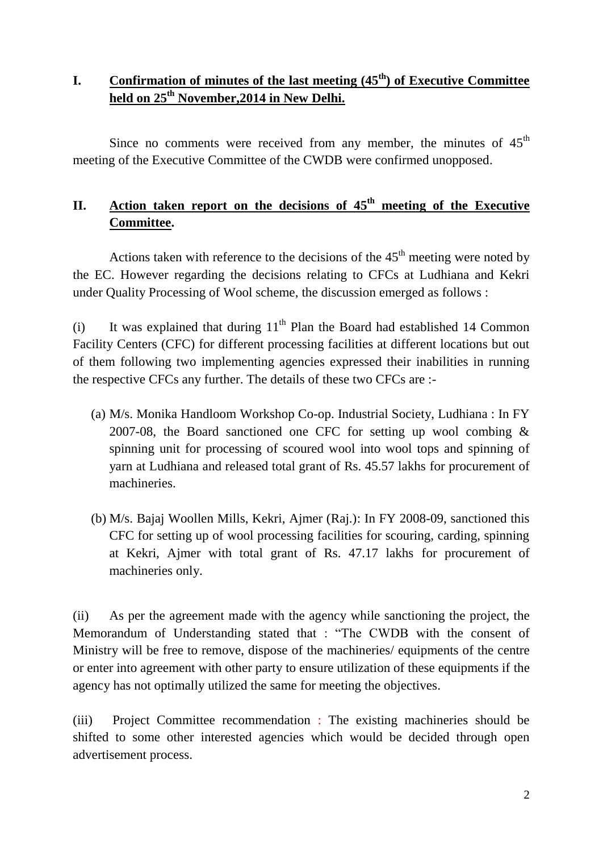## **I. Confirmation of minutes of the last meeting (45th) of Executive Committee held on 25th November,2014 in New Delhi.**

Since no comments were received from any member, the minutes of  $45<sup>th</sup>$ meeting of the Executive Committee of the CWDB were confirmed unopposed.

## **II.** Action taken report on the decisions of 45<sup>th</sup> meeting of the Executive **Committee.**

Actions taken with reference to the decisions of the  $45<sup>th</sup>$  meeting were noted by the EC. However regarding the decisions relating to CFCs at Ludhiana and Kekri under Quality Processing of Wool scheme, the discussion emerged as follows :

(i) It was explained that during  $11<sup>th</sup>$  Plan the Board had established 14 Common Facility Centers (CFC) for different processing facilities at different locations but out of them following two implementing agencies expressed their inabilities in running the respective CFCs any further. The details of these two CFCs are :-

- (a) M/s. Monika Handloom Workshop Co-op. Industrial Society, Ludhiana : In FY 2007-08, the Board sanctioned one CFC for setting up wool combing & spinning unit for processing of scoured wool into wool tops and spinning of yarn at Ludhiana and released total grant of Rs. 45.57 lakhs for procurement of machineries.
- (b) M/s. Bajaj Woollen Mills, Kekri, Ajmer (Raj.): In FY 2008-09, sanctioned this CFC for setting up of wool processing facilities for scouring, carding, spinning at Kekri, Ajmer with total grant of Rs. 47.17 lakhs for procurement of machineries only.

(ii) As per the agreement made with the agency while sanctioning the project, the Memorandum of Understanding stated that : "The CWDB with the consent of Ministry will be free to remove, dispose of the machineries/ equipments of the centre or enter into agreement with other party to ensure utilization of these equipments if the agency has not optimally utilized the same for meeting the objectives.

(iii) Project Committee recommendation : The existing machineries should be shifted to some other interested agencies which would be decided through open advertisement process.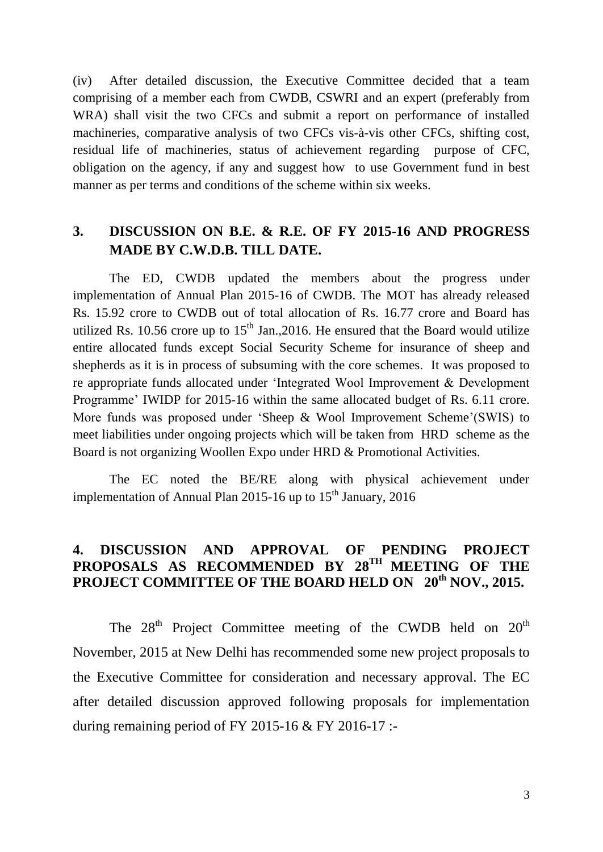(iv) After detailed discussion, the Executive Committee decided that a team comprising of a member each from CWDB, CSWRI and an expert (preferably from WRA) shall visit the two CFCs and submit a report on performance of installed machineries, comparative analysis of two CFCs vis-à-vis other CFCs, shifting cost, residual life of machineries, status of achievement regarding purpose of CFC, obligation on the agency, if any and suggest how to use Government fund in best manner as per terms and conditions of the scheme within six weeks.

### **3. DISCUSSION ON B.E. & R.E. OF FY 2015-16 AND PROGRESS MADE BY C.W.D.B. TILL DATE.**

The ED, CWDB updated the members about the progress under implementation of Annual Plan 2015-16 of CWDB. The MOT has already released Rs. 15.92 crore to CWDB out of total allocation of Rs. 16.77 crore and Board has utilized Rs. 10.56 crore up to  $15<sup>th</sup>$  Jan., 2016. He ensured that the Board would utilize entire allocated funds except Social Security Scheme for insurance of sheep and shepherds as it is in process of subsuming with the core schemes. It was proposed to re appropriate funds allocated under "Integrated Wool Improvement & Development Programme' IWIDP for 2015-16 within the same allocated budget of Rs. 6.11 crore. More funds was proposed under "Sheep & Wool Improvement Scheme"(SWIS) to meet liabilities under ongoing projects which will be taken from HRD scheme as the Board is not organizing Woollen Expo under HRD & Promotional Activities.

The EC noted the BE/RE along with physical achievement under implementation of Annual Plan 2015-16 up to  $15<sup>th</sup>$  January, 2016

### **4. DISCUSSION AND APPROVAL OF PENDING PROJECT**  PROPOSALS AS RECOMMENDED BY 28<sup>TH</sup> MEETING OF THE **PROJECT COMMITTEE OF THE BOARD HELD ON 20th NOV., 2015.**

The  $28<sup>th</sup>$  Project Committee meeting of the CWDB held on  $20<sup>th</sup>$ November, 2015 at New Delhi has recommended some new project proposals to the Executive Committee for consideration and necessary approval. The EC after detailed discussion approved following proposals for implementation during remaining period of FY 2015-16  $&$  FY 2016-17 :-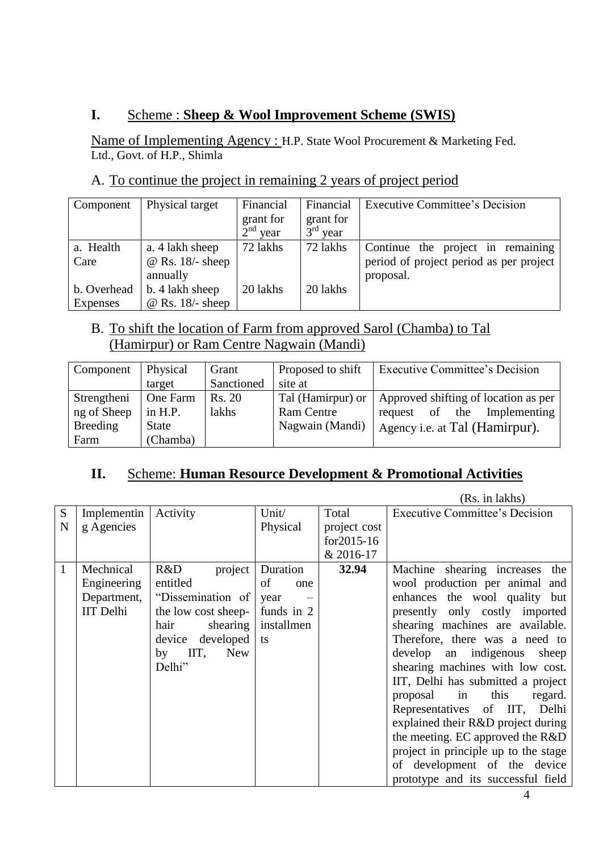## **I.** Scheme : **Sheep & Wool Improvement Scheme (SWIS)**

Name of Implementing Agency : H.P. State Wool Procurement & Marketing Fed. Ltd., Govt. of H.P., Shimla

### A. To continue the project in remaining 2 years of project period

| Component   | Physical target    | Financial               | Financial               | <b>Executive Committee's Decision</b>   |
|-------------|--------------------|-------------------------|-------------------------|-----------------------------------------|
|             |                    | grant for<br>$2nd$ year | grant for<br>$3rd$ year |                                         |
| a. Health   | a. 4 lakh sheep    | 72 lakhs                | 72 lakhs                | Continue the project in remaining       |
| Care        | $@$ Rs. 18/- sheep |                         |                         | period of project period as per project |
|             | annually           |                         |                         | proposal.                               |
| b. Overhead | b. 4 lakh sheep    | 20 lakhs                | 20 lakhs                |                                         |
| Expenses    | $@$ Rs. 18/- sheep |                         |                         |                                         |

### B. To shift the location of Farm from approved Sarol (Chamba) to Tal (Hamirpur) or Ram Centre Nagwain (Mandi)

| Component       | Physical     | Grant      | Proposed to shift | <b>Executive Committee's Decision</b> |
|-----------------|--------------|------------|-------------------|---------------------------------------|
|                 | target       | Sanctioned | site at           |                                       |
| Strengtheni     | One Farm     | Rs. 20     | Tal (Hamirpur) or | Approved shifting of location as per  |
| ng of Sheep     | in H.P.      | lakhs      | <b>Ram Centre</b> | of the<br>Implementing<br>request     |
| <b>Breeding</b> | <b>State</b> |            | Nagwain (Mandi)   | Agency <i>i.e.</i> at Tal (Hamirpur). |
| Farm            | (Chamba)     |            |                   |                                       |

#### **II.** Scheme: **Human Resource Development & Promotional Activities**  I

|   |                  |                     |            |               | (Rs. in lakhs)                        |
|---|------------------|---------------------|------------|---------------|---------------------------------------|
| S | Implementin      | Activity            | Unit/      | Total         | <b>Executive Committee's Decision</b> |
| N | g Agencies       |                     | Physical   | project cost  |                                       |
|   |                  |                     |            | $for 2015-16$ |                                       |
|   |                  |                     |            | & 2016-17     |                                       |
| 1 | Mechnical        | R&D<br>project      | Duration   | 32.94         | Machine shearing increases the        |
|   | Engineering      | entitled            | of<br>one  |               | wool production per animal and        |
|   | Department,      | "Dissemination of   | year       |               | enhances the wool quality but         |
|   | <b>IIT</b> Delhi | the low cost sheep- | funds in 2 |               | presently only costly imported        |
|   |                  | shearing<br>hair    | installmen |               | shearing machines are available.      |
|   |                  | device developed    | ts         |               | Therefore, there was a need to        |
|   |                  | IIT,<br>New<br>by   |            |               | develop an indigenous<br>sheep        |
|   |                  | Delhi"              |            |               | shearing machines with low cost.      |
|   |                  |                     |            |               | IIT, Delhi has submitted a project    |
|   |                  |                     |            |               | proposal in this<br>regard.           |
|   |                  |                     |            |               | Representatives of IIT, Delhi         |
|   |                  |                     |            |               | explained their R&D project during    |
|   |                  |                     |            |               | the meeting. EC approved the R&D      |
|   |                  |                     |            |               | project in principle up to the stage  |
|   |                  |                     |            |               | of development of the device          |
|   |                  |                     |            |               | prototype and its successful field    |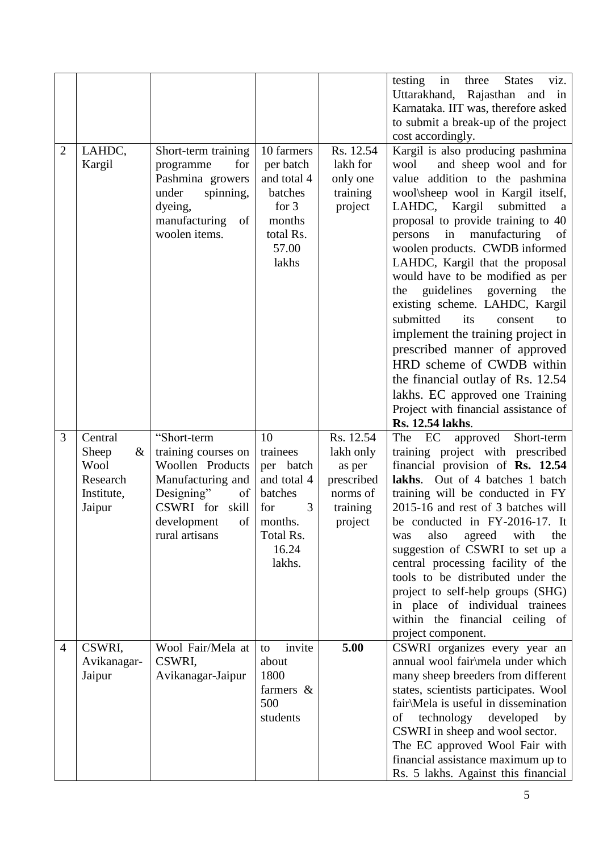|                |                                                                   |                                                                                                                                                             |                                                                                                              |                                                                                   | in<br>three<br>testing<br><b>States</b><br>viz.<br>Uttarakhand, Rajasthan and in<br>Karnataka. IIT was, therefore asked<br>to submit a break-up of the project<br>cost accordingly.                                                                                                                                                                                                                                                                                                                                                                                                                                                                                                                                                |
|----------------|-------------------------------------------------------------------|-------------------------------------------------------------------------------------------------------------------------------------------------------------|--------------------------------------------------------------------------------------------------------------|-----------------------------------------------------------------------------------|------------------------------------------------------------------------------------------------------------------------------------------------------------------------------------------------------------------------------------------------------------------------------------------------------------------------------------------------------------------------------------------------------------------------------------------------------------------------------------------------------------------------------------------------------------------------------------------------------------------------------------------------------------------------------------------------------------------------------------|
| $\overline{2}$ | LAHDC,<br>Kargil                                                  | Short-term training<br>programme<br>for<br>Pashmina growers<br>spinning,<br>under<br>dyeing,<br>manufacturing<br>of<br>woolen items.                        | 10 farmers<br>per batch<br>and total 4<br>batches<br>for $3$<br>months<br>total Rs.<br>57.00<br>lakhs        | Rs. 12.54<br>lakh for<br>only one<br>training<br>project                          | Kargil is also producing pashmina<br>and sheep wool and for<br>wool<br>value addition to the pashmina<br>wool\sheep wool in Kargil itself,<br>submitted<br>LAHDC, Kargil<br>a<br>proposal to provide training to 40<br>in<br>manufacturing<br>persons<br>of<br>woolen products. CWDB informed<br>LAHDC, Kargil that the proposal<br>would have to be modified as per<br>guidelines<br>governing<br>the<br>the<br>existing scheme. LAHDC, Kargil<br>submitted<br>its<br>consent<br>to<br>implement the training project in<br>prescribed manner of approved<br>HRD scheme of CWDB within<br>the financial outlay of Rs. 12.54<br>lakhs. EC approved one Training<br>Project with financial assistance of<br><b>Rs. 12.54 lakhs.</b> |
| 3              | Central<br>Sheep<br>&<br>Wool<br>Research<br>Institute,<br>Jaipur | "Short-term<br>training courses on<br>Woollen Products<br>Manufacturing and<br>Designing"<br>of<br>CSWRI for skill<br>of l<br>development<br>rural artisans | 10<br>trainees<br>per batch<br>and total 4<br>batches<br>for<br>3<br>months.<br>Total Rs.<br>16.24<br>lakhs. | Rs. 12.54<br>lakh only<br>as per<br>prescribed<br>norms of<br>training<br>project | Short-term<br>EC<br>approved<br>The<br>training project with prescribed<br>financial provision of Rs. 12.54<br>lakhs. Out of 4 batches 1 batch<br>training will be conducted in FY<br>2015-16 and rest of 3 batches will<br>be conducted in $FY-2016-17$ . It<br>also<br>agreed with<br>the<br>was<br>suggestion of CSWRI to set up a<br>central processing facility of the<br>tools to be distributed under the<br>project to self-help groups (SHG)<br>in place of individual trainees<br>within the financial ceiling of                                                                                                                                                                                                        |
| $\overline{4}$ | CSWRI,<br>Avikanagar-<br>Jaipur                                   | Wool Fair/Mela at<br>CSWRI,<br>Avikanagar-Jaipur                                                                                                            | invite<br>to<br>about<br>1800<br>farmers $\&$<br>500<br>students                                             | 5.00                                                                              | project component.<br>CSWRI organizes every year an<br>annual wool fair\mela under which<br>many sheep breeders from different<br>states, scientists participates. Wool<br>fair\Mela is useful in dissemination<br>technology developed<br>of<br>by<br>CSWRI in sheep and wool sector.<br>The EC approved Wool Fair with<br>financial assistance maximum up to<br>Rs. 5 lakhs. Against this financial                                                                                                                                                                                                                                                                                                                              |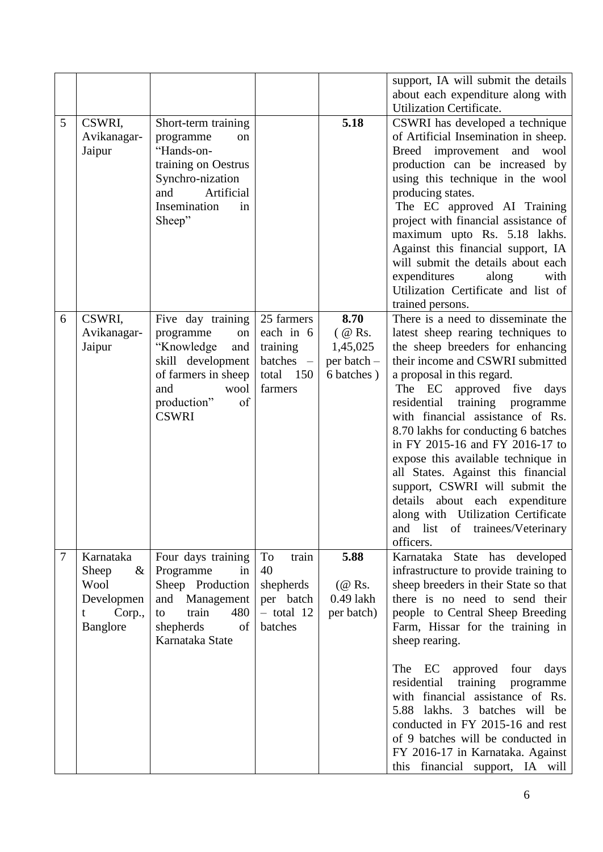| about each expenditure along with<br><b>Utilization Certificate.</b><br>5<br>CSWRI,<br>5.18<br>CSWRI has developed a technique<br>Short-term training<br>of Artificial Insemination in sheep.<br>Avikanagar-<br>programme<br>on<br>"Hands-on-<br>Jaipur<br>Breed improvement and<br>wool<br>production can be increased by<br>training on Oestrus<br>Synchro-nization<br>using this technique in the wool<br>Artificial<br>and<br>producing states.<br>Insemination<br>The EC approved AI Training<br>in<br>project with financial assistance of<br>Sheep"<br>maximum upto Rs. 5.18 lakhs.<br>Against this financial support, IA<br>will submit the details about each<br>expenditures<br>along<br>with<br>Utilization Certificate and list of<br>trained persons.<br>There is a need to disseminate the<br>8.70<br>CSWRI,<br>25 farmers<br>6<br>Five day training<br>each in 6<br>$($ @ Rs.<br>latest sheep rearing techniques to<br>Avikanagar-<br>programme<br>on<br>the sheep breeders for enhancing<br>Jaipur<br>"Knowledge<br>training<br>and<br>1,45,025<br>batches -<br>their income and CSWRI submitted<br>skill development<br>per batch -<br>6 batches)<br>a proposal in this regard.<br>of farmers in sheep<br>total<br>150<br>approved five days<br>and<br>farmers<br>The<br>EC<br>wool<br>production"<br>of<br>residential<br>training<br>programme<br><b>CSWRI</b><br>with financial assistance of Rs.<br>8.70 lakhs for conducting 6 batches<br>in FY 2015-16 and FY 2016-17 to<br>expose this available technique in<br>all States. Against this financial<br>support, CSWRI will submit the<br>details about each expenditure<br>along with Utilization Certificate<br>and list of trainees/Veterinary<br>officers.<br>5.88<br>Karnataka State has developed<br>$\tau$<br>Karnataka<br>Four days training<br>To<br>train<br>Programme<br>infrastructure to provide training to<br>Sheep<br>$\&$<br>40<br>in<br>Wool<br>Sheep Production<br>shepherds<br>sheep breeders in their State so that<br>$(\mathcal{Q}$ Rs.<br>there is no need to send their<br>and Management<br>$0.49$ lakh<br>Developmen<br>per batch<br>train<br>480<br>$-$ total 12<br>people to Central Sheep Breeding<br>per batch)<br>Corp.,<br>t<br>to<br>shepherds<br>batches<br>Banglore<br>Farm, Hissar for the training in<br>of<br>Karnataka State<br>sheep rearing.<br>The EC<br>approved four<br>days<br>residential<br>training<br>programme<br>with financial assistance of Rs. |  |  | support, IA will submit the details |
|------------------------------------------------------------------------------------------------------------------------------------------------------------------------------------------------------------------------------------------------------------------------------------------------------------------------------------------------------------------------------------------------------------------------------------------------------------------------------------------------------------------------------------------------------------------------------------------------------------------------------------------------------------------------------------------------------------------------------------------------------------------------------------------------------------------------------------------------------------------------------------------------------------------------------------------------------------------------------------------------------------------------------------------------------------------------------------------------------------------------------------------------------------------------------------------------------------------------------------------------------------------------------------------------------------------------------------------------------------------------------------------------------------------------------------------------------------------------------------------------------------------------------------------------------------------------------------------------------------------------------------------------------------------------------------------------------------------------------------------------------------------------------------------------------------------------------------------------------------------------------------------------------------------------------------------------------------------------------------------------------------------------------------------------------------------------------------------------------------------------------------------------------------------------------------------------------------------------------------------------------------------------------------------------------------------------------------------------------------------------------------------------------------------------------------------------------------------------------|--|--|-------------------------------------|
|                                                                                                                                                                                                                                                                                                                                                                                                                                                                                                                                                                                                                                                                                                                                                                                                                                                                                                                                                                                                                                                                                                                                                                                                                                                                                                                                                                                                                                                                                                                                                                                                                                                                                                                                                                                                                                                                                                                                                                                                                                                                                                                                                                                                                                                                                                                                                                                                                                                                              |  |  |                                     |
|                                                                                                                                                                                                                                                                                                                                                                                                                                                                                                                                                                                                                                                                                                                                                                                                                                                                                                                                                                                                                                                                                                                                                                                                                                                                                                                                                                                                                                                                                                                                                                                                                                                                                                                                                                                                                                                                                                                                                                                                                                                                                                                                                                                                                                                                                                                                                                                                                                                                              |  |  |                                     |
|                                                                                                                                                                                                                                                                                                                                                                                                                                                                                                                                                                                                                                                                                                                                                                                                                                                                                                                                                                                                                                                                                                                                                                                                                                                                                                                                                                                                                                                                                                                                                                                                                                                                                                                                                                                                                                                                                                                                                                                                                                                                                                                                                                                                                                                                                                                                                                                                                                                                              |  |  |                                     |
|                                                                                                                                                                                                                                                                                                                                                                                                                                                                                                                                                                                                                                                                                                                                                                                                                                                                                                                                                                                                                                                                                                                                                                                                                                                                                                                                                                                                                                                                                                                                                                                                                                                                                                                                                                                                                                                                                                                                                                                                                                                                                                                                                                                                                                                                                                                                                                                                                                                                              |  |  |                                     |
|                                                                                                                                                                                                                                                                                                                                                                                                                                                                                                                                                                                                                                                                                                                                                                                                                                                                                                                                                                                                                                                                                                                                                                                                                                                                                                                                                                                                                                                                                                                                                                                                                                                                                                                                                                                                                                                                                                                                                                                                                                                                                                                                                                                                                                                                                                                                                                                                                                                                              |  |  |                                     |
|                                                                                                                                                                                                                                                                                                                                                                                                                                                                                                                                                                                                                                                                                                                                                                                                                                                                                                                                                                                                                                                                                                                                                                                                                                                                                                                                                                                                                                                                                                                                                                                                                                                                                                                                                                                                                                                                                                                                                                                                                                                                                                                                                                                                                                                                                                                                                                                                                                                                              |  |  |                                     |
|                                                                                                                                                                                                                                                                                                                                                                                                                                                                                                                                                                                                                                                                                                                                                                                                                                                                                                                                                                                                                                                                                                                                                                                                                                                                                                                                                                                                                                                                                                                                                                                                                                                                                                                                                                                                                                                                                                                                                                                                                                                                                                                                                                                                                                                                                                                                                                                                                                                                              |  |  |                                     |
|                                                                                                                                                                                                                                                                                                                                                                                                                                                                                                                                                                                                                                                                                                                                                                                                                                                                                                                                                                                                                                                                                                                                                                                                                                                                                                                                                                                                                                                                                                                                                                                                                                                                                                                                                                                                                                                                                                                                                                                                                                                                                                                                                                                                                                                                                                                                                                                                                                                                              |  |  |                                     |
|                                                                                                                                                                                                                                                                                                                                                                                                                                                                                                                                                                                                                                                                                                                                                                                                                                                                                                                                                                                                                                                                                                                                                                                                                                                                                                                                                                                                                                                                                                                                                                                                                                                                                                                                                                                                                                                                                                                                                                                                                                                                                                                                                                                                                                                                                                                                                                                                                                                                              |  |  |                                     |
|                                                                                                                                                                                                                                                                                                                                                                                                                                                                                                                                                                                                                                                                                                                                                                                                                                                                                                                                                                                                                                                                                                                                                                                                                                                                                                                                                                                                                                                                                                                                                                                                                                                                                                                                                                                                                                                                                                                                                                                                                                                                                                                                                                                                                                                                                                                                                                                                                                                                              |  |  |                                     |
|                                                                                                                                                                                                                                                                                                                                                                                                                                                                                                                                                                                                                                                                                                                                                                                                                                                                                                                                                                                                                                                                                                                                                                                                                                                                                                                                                                                                                                                                                                                                                                                                                                                                                                                                                                                                                                                                                                                                                                                                                                                                                                                                                                                                                                                                                                                                                                                                                                                                              |  |  |                                     |
|                                                                                                                                                                                                                                                                                                                                                                                                                                                                                                                                                                                                                                                                                                                                                                                                                                                                                                                                                                                                                                                                                                                                                                                                                                                                                                                                                                                                                                                                                                                                                                                                                                                                                                                                                                                                                                                                                                                                                                                                                                                                                                                                                                                                                                                                                                                                                                                                                                                                              |  |  |                                     |
|                                                                                                                                                                                                                                                                                                                                                                                                                                                                                                                                                                                                                                                                                                                                                                                                                                                                                                                                                                                                                                                                                                                                                                                                                                                                                                                                                                                                                                                                                                                                                                                                                                                                                                                                                                                                                                                                                                                                                                                                                                                                                                                                                                                                                                                                                                                                                                                                                                                                              |  |  |                                     |
|                                                                                                                                                                                                                                                                                                                                                                                                                                                                                                                                                                                                                                                                                                                                                                                                                                                                                                                                                                                                                                                                                                                                                                                                                                                                                                                                                                                                                                                                                                                                                                                                                                                                                                                                                                                                                                                                                                                                                                                                                                                                                                                                                                                                                                                                                                                                                                                                                                                                              |  |  |                                     |
|                                                                                                                                                                                                                                                                                                                                                                                                                                                                                                                                                                                                                                                                                                                                                                                                                                                                                                                                                                                                                                                                                                                                                                                                                                                                                                                                                                                                                                                                                                                                                                                                                                                                                                                                                                                                                                                                                                                                                                                                                                                                                                                                                                                                                                                                                                                                                                                                                                                                              |  |  |                                     |
|                                                                                                                                                                                                                                                                                                                                                                                                                                                                                                                                                                                                                                                                                                                                                                                                                                                                                                                                                                                                                                                                                                                                                                                                                                                                                                                                                                                                                                                                                                                                                                                                                                                                                                                                                                                                                                                                                                                                                                                                                                                                                                                                                                                                                                                                                                                                                                                                                                                                              |  |  |                                     |
|                                                                                                                                                                                                                                                                                                                                                                                                                                                                                                                                                                                                                                                                                                                                                                                                                                                                                                                                                                                                                                                                                                                                                                                                                                                                                                                                                                                                                                                                                                                                                                                                                                                                                                                                                                                                                                                                                                                                                                                                                                                                                                                                                                                                                                                                                                                                                                                                                                                                              |  |  |                                     |
|                                                                                                                                                                                                                                                                                                                                                                                                                                                                                                                                                                                                                                                                                                                                                                                                                                                                                                                                                                                                                                                                                                                                                                                                                                                                                                                                                                                                                                                                                                                                                                                                                                                                                                                                                                                                                                                                                                                                                                                                                                                                                                                                                                                                                                                                                                                                                                                                                                                                              |  |  |                                     |
|                                                                                                                                                                                                                                                                                                                                                                                                                                                                                                                                                                                                                                                                                                                                                                                                                                                                                                                                                                                                                                                                                                                                                                                                                                                                                                                                                                                                                                                                                                                                                                                                                                                                                                                                                                                                                                                                                                                                                                                                                                                                                                                                                                                                                                                                                                                                                                                                                                                                              |  |  |                                     |
|                                                                                                                                                                                                                                                                                                                                                                                                                                                                                                                                                                                                                                                                                                                                                                                                                                                                                                                                                                                                                                                                                                                                                                                                                                                                                                                                                                                                                                                                                                                                                                                                                                                                                                                                                                                                                                                                                                                                                                                                                                                                                                                                                                                                                                                                                                                                                                                                                                                                              |  |  |                                     |
|                                                                                                                                                                                                                                                                                                                                                                                                                                                                                                                                                                                                                                                                                                                                                                                                                                                                                                                                                                                                                                                                                                                                                                                                                                                                                                                                                                                                                                                                                                                                                                                                                                                                                                                                                                                                                                                                                                                                                                                                                                                                                                                                                                                                                                                                                                                                                                                                                                                                              |  |  |                                     |
|                                                                                                                                                                                                                                                                                                                                                                                                                                                                                                                                                                                                                                                                                                                                                                                                                                                                                                                                                                                                                                                                                                                                                                                                                                                                                                                                                                                                                                                                                                                                                                                                                                                                                                                                                                                                                                                                                                                                                                                                                                                                                                                                                                                                                                                                                                                                                                                                                                                                              |  |  |                                     |
|                                                                                                                                                                                                                                                                                                                                                                                                                                                                                                                                                                                                                                                                                                                                                                                                                                                                                                                                                                                                                                                                                                                                                                                                                                                                                                                                                                                                                                                                                                                                                                                                                                                                                                                                                                                                                                                                                                                                                                                                                                                                                                                                                                                                                                                                                                                                                                                                                                                                              |  |  |                                     |
|                                                                                                                                                                                                                                                                                                                                                                                                                                                                                                                                                                                                                                                                                                                                                                                                                                                                                                                                                                                                                                                                                                                                                                                                                                                                                                                                                                                                                                                                                                                                                                                                                                                                                                                                                                                                                                                                                                                                                                                                                                                                                                                                                                                                                                                                                                                                                                                                                                                                              |  |  |                                     |
|                                                                                                                                                                                                                                                                                                                                                                                                                                                                                                                                                                                                                                                                                                                                                                                                                                                                                                                                                                                                                                                                                                                                                                                                                                                                                                                                                                                                                                                                                                                                                                                                                                                                                                                                                                                                                                                                                                                                                                                                                                                                                                                                                                                                                                                                                                                                                                                                                                                                              |  |  |                                     |
|                                                                                                                                                                                                                                                                                                                                                                                                                                                                                                                                                                                                                                                                                                                                                                                                                                                                                                                                                                                                                                                                                                                                                                                                                                                                                                                                                                                                                                                                                                                                                                                                                                                                                                                                                                                                                                                                                                                                                                                                                                                                                                                                                                                                                                                                                                                                                                                                                                                                              |  |  |                                     |
|                                                                                                                                                                                                                                                                                                                                                                                                                                                                                                                                                                                                                                                                                                                                                                                                                                                                                                                                                                                                                                                                                                                                                                                                                                                                                                                                                                                                                                                                                                                                                                                                                                                                                                                                                                                                                                                                                                                                                                                                                                                                                                                                                                                                                                                                                                                                                                                                                                                                              |  |  |                                     |
|                                                                                                                                                                                                                                                                                                                                                                                                                                                                                                                                                                                                                                                                                                                                                                                                                                                                                                                                                                                                                                                                                                                                                                                                                                                                                                                                                                                                                                                                                                                                                                                                                                                                                                                                                                                                                                                                                                                                                                                                                                                                                                                                                                                                                                                                                                                                                                                                                                                                              |  |  |                                     |
|                                                                                                                                                                                                                                                                                                                                                                                                                                                                                                                                                                                                                                                                                                                                                                                                                                                                                                                                                                                                                                                                                                                                                                                                                                                                                                                                                                                                                                                                                                                                                                                                                                                                                                                                                                                                                                                                                                                                                                                                                                                                                                                                                                                                                                                                                                                                                                                                                                                                              |  |  |                                     |
|                                                                                                                                                                                                                                                                                                                                                                                                                                                                                                                                                                                                                                                                                                                                                                                                                                                                                                                                                                                                                                                                                                                                                                                                                                                                                                                                                                                                                                                                                                                                                                                                                                                                                                                                                                                                                                                                                                                                                                                                                                                                                                                                                                                                                                                                                                                                                                                                                                                                              |  |  |                                     |
|                                                                                                                                                                                                                                                                                                                                                                                                                                                                                                                                                                                                                                                                                                                                                                                                                                                                                                                                                                                                                                                                                                                                                                                                                                                                                                                                                                                                                                                                                                                                                                                                                                                                                                                                                                                                                                                                                                                                                                                                                                                                                                                                                                                                                                                                                                                                                                                                                                                                              |  |  |                                     |
|                                                                                                                                                                                                                                                                                                                                                                                                                                                                                                                                                                                                                                                                                                                                                                                                                                                                                                                                                                                                                                                                                                                                                                                                                                                                                                                                                                                                                                                                                                                                                                                                                                                                                                                                                                                                                                                                                                                                                                                                                                                                                                                                                                                                                                                                                                                                                                                                                                                                              |  |  |                                     |
|                                                                                                                                                                                                                                                                                                                                                                                                                                                                                                                                                                                                                                                                                                                                                                                                                                                                                                                                                                                                                                                                                                                                                                                                                                                                                                                                                                                                                                                                                                                                                                                                                                                                                                                                                                                                                                                                                                                                                                                                                                                                                                                                                                                                                                                                                                                                                                                                                                                                              |  |  |                                     |
|                                                                                                                                                                                                                                                                                                                                                                                                                                                                                                                                                                                                                                                                                                                                                                                                                                                                                                                                                                                                                                                                                                                                                                                                                                                                                                                                                                                                                                                                                                                                                                                                                                                                                                                                                                                                                                                                                                                                                                                                                                                                                                                                                                                                                                                                                                                                                                                                                                                                              |  |  |                                     |
|                                                                                                                                                                                                                                                                                                                                                                                                                                                                                                                                                                                                                                                                                                                                                                                                                                                                                                                                                                                                                                                                                                                                                                                                                                                                                                                                                                                                                                                                                                                                                                                                                                                                                                                                                                                                                                                                                                                                                                                                                                                                                                                                                                                                                                                                                                                                                                                                                                                                              |  |  |                                     |
|                                                                                                                                                                                                                                                                                                                                                                                                                                                                                                                                                                                                                                                                                                                                                                                                                                                                                                                                                                                                                                                                                                                                                                                                                                                                                                                                                                                                                                                                                                                                                                                                                                                                                                                                                                                                                                                                                                                                                                                                                                                                                                                                                                                                                                                                                                                                                                                                                                                                              |  |  |                                     |
|                                                                                                                                                                                                                                                                                                                                                                                                                                                                                                                                                                                                                                                                                                                                                                                                                                                                                                                                                                                                                                                                                                                                                                                                                                                                                                                                                                                                                                                                                                                                                                                                                                                                                                                                                                                                                                                                                                                                                                                                                                                                                                                                                                                                                                                                                                                                                                                                                                                                              |  |  |                                     |
|                                                                                                                                                                                                                                                                                                                                                                                                                                                                                                                                                                                                                                                                                                                                                                                                                                                                                                                                                                                                                                                                                                                                                                                                                                                                                                                                                                                                                                                                                                                                                                                                                                                                                                                                                                                                                                                                                                                                                                                                                                                                                                                                                                                                                                                                                                                                                                                                                                                                              |  |  |                                     |
|                                                                                                                                                                                                                                                                                                                                                                                                                                                                                                                                                                                                                                                                                                                                                                                                                                                                                                                                                                                                                                                                                                                                                                                                                                                                                                                                                                                                                                                                                                                                                                                                                                                                                                                                                                                                                                                                                                                                                                                                                                                                                                                                                                                                                                                                                                                                                                                                                                                                              |  |  |                                     |
|                                                                                                                                                                                                                                                                                                                                                                                                                                                                                                                                                                                                                                                                                                                                                                                                                                                                                                                                                                                                                                                                                                                                                                                                                                                                                                                                                                                                                                                                                                                                                                                                                                                                                                                                                                                                                                                                                                                                                                                                                                                                                                                                                                                                                                                                                                                                                                                                                                                                              |  |  |                                     |
|                                                                                                                                                                                                                                                                                                                                                                                                                                                                                                                                                                                                                                                                                                                                                                                                                                                                                                                                                                                                                                                                                                                                                                                                                                                                                                                                                                                                                                                                                                                                                                                                                                                                                                                                                                                                                                                                                                                                                                                                                                                                                                                                                                                                                                                                                                                                                                                                                                                                              |  |  |                                     |
|                                                                                                                                                                                                                                                                                                                                                                                                                                                                                                                                                                                                                                                                                                                                                                                                                                                                                                                                                                                                                                                                                                                                                                                                                                                                                                                                                                                                                                                                                                                                                                                                                                                                                                                                                                                                                                                                                                                                                                                                                                                                                                                                                                                                                                                                                                                                                                                                                                                                              |  |  |                                     |
|                                                                                                                                                                                                                                                                                                                                                                                                                                                                                                                                                                                                                                                                                                                                                                                                                                                                                                                                                                                                                                                                                                                                                                                                                                                                                                                                                                                                                                                                                                                                                                                                                                                                                                                                                                                                                                                                                                                                                                                                                                                                                                                                                                                                                                                                                                                                                                                                                                                                              |  |  |                                     |
|                                                                                                                                                                                                                                                                                                                                                                                                                                                                                                                                                                                                                                                                                                                                                                                                                                                                                                                                                                                                                                                                                                                                                                                                                                                                                                                                                                                                                                                                                                                                                                                                                                                                                                                                                                                                                                                                                                                                                                                                                                                                                                                                                                                                                                                                                                                                                                                                                                                                              |  |  |                                     |
|                                                                                                                                                                                                                                                                                                                                                                                                                                                                                                                                                                                                                                                                                                                                                                                                                                                                                                                                                                                                                                                                                                                                                                                                                                                                                                                                                                                                                                                                                                                                                                                                                                                                                                                                                                                                                                                                                                                                                                                                                                                                                                                                                                                                                                                                                                                                                                                                                                                                              |  |  |                                     |
|                                                                                                                                                                                                                                                                                                                                                                                                                                                                                                                                                                                                                                                                                                                                                                                                                                                                                                                                                                                                                                                                                                                                                                                                                                                                                                                                                                                                                                                                                                                                                                                                                                                                                                                                                                                                                                                                                                                                                                                                                                                                                                                                                                                                                                                                                                                                                                                                                                                                              |  |  |                                     |
|                                                                                                                                                                                                                                                                                                                                                                                                                                                                                                                                                                                                                                                                                                                                                                                                                                                                                                                                                                                                                                                                                                                                                                                                                                                                                                                                                                                                                                                                                                                                                                                                                                                                                                                                                                                                                                                                                                                                                                                                                                                                                                                                                                                                                                                                                                                                                                                                                                                                              |  |  | 5.88 lakhs. 3 batches will be       |
| conducted in FY 2015-16 and rest                                                                                                                                                                                                                                                                                                                                                                                                                                                                                                                                                                                                                                                                                                                                                                                                                                                                                                                                                                                                                                                                                                                                                                                                                                                                                                                                                                                                                                                                                                                                                                                                                                                                                                                                                                                                                                                                                                                                                                                                                                                                                                                                                                                                                                                                                                                                                                                                                                             |  |  |                                     |
| of 9 batches will be conducted in                                                                                                                                                                                                                                                                                                                                                                                                                                                                                                                                                                                                                                                                                                                                                                                                                                                                                                                                                                                                                                                                                                                                                                                                                                                                                                                                                                                                                                                                                                                                                                                                                                                                                                                                                                                                                                                                                                                                                                                                                                                                                                                                                                                                                                                                                                                                                                                                                                            |  |  |                                     |
| FY 2016-17 in Karnataka. Against                                                                                                                                                                                                                                                                                                                                                                                                                                                                                                                                                                                                                                                                                                                                                                                                                                                                                                                                                                                                                                                                                                                                                                                                                                                                                                                                                                                                                                                                                                                                                                                                                                                                                                                                                                                                                                                                                                                                                                                                                                                                                                                                                                                                                                                                                                                                                                                                                                             |  |  |                                     |
| this financial support, IA will                                                                                                                                                                                                                                                                                                                                                                                                                                                                                                                                                                                                                                                                                                                                                                                                                                                                                                                                                                                                                                                                                                                                                                                                                                                                                                                                                                                                                                                                                                                                                                                                                                                                                                                                                                                                                                                                                                                                                                                                                                                                                                                                                                                                                                                                                                                                                                                                                                              |  |  |                                     |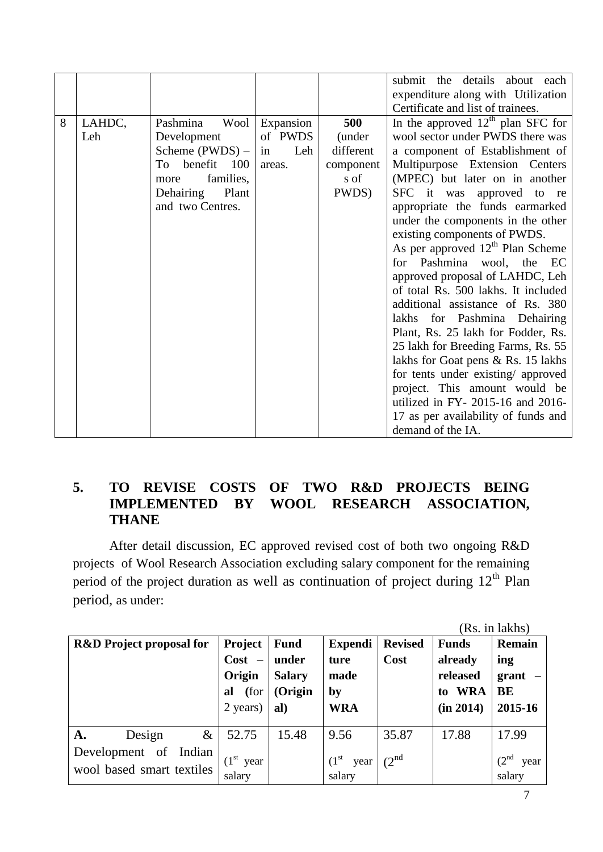|   |        |                    |           |           | submit the details about each       |  |  |  |
|---|--------|--------------------|-----------|-----------|-------------------------------------|--|--|--|
|   |        |                    |           |           | expenditure along with Utilization  |  |  |  |
|   |        |                    |           |           | Certificate and list of trainees.   |  |  |  |
| 8 | LAHDC, | Pashmina<br>Wool   | Expansion | 500       | In the approved $12th$ plan SFC for |  |  |  |
|   | Leh    | Development        | of PWDS   | (under    | wool sector under PWDS there was    |  |  |  |
|   |        | Scheme $(PWDS)$ –  | Leh<br>in | different | a component of Establishment of     |  |  |  |
|   |        | benefit 100<br>To  | areas.    | component | Multipurpose Extension Centers      |  |  |  |
|   |        | families,<br>more  |           | s of      | (MPEC) but later on in another      |  |  |  |
|   |        | Dehairing<br>Plant |           | PWDS)     | SFC it was approved to re           |  |  |  |
|   |        | and two Centres.   |           |           | appropriate the funds earmarked     |  |  |  |
|   |        |                    |           |           | under the components in the other   |  |  |  |
|   |        |                    |           |           | existing components of PWDS.        |  |  |  |
|   |        |                    |           |           | As per approved $12th$ Plan Scheme  |  |  |  |
|   |        |                    |           |           | for Pashmina wool, the EC           |  |  |  |
|   |        |                    |           |           | approved proposal of LAHDC, Leh     |  |  |  |
|   |        |                    |           |           | of total Rs. 500 lakhs. It included |  |  |  |
|   |        |                    |           |           | additional assistance of Rs. 380    |  |  |  |
|   |        |                    |           |           | lakhs for Pashmina Dehairing        |  |  |  |
|   |        |                    |           |           | Plant, Rs. 25 lakh for Fodder, Rs.  |  |  |  |
|   |        |                    |           |           | 25 lakh for Breeding Farms, Rs. 55  |  |  |  |
|   |        |                    |           |           | lakhs for Goat pens & Rs. 15 lakhs  |  |  |  |
|   |        |                    |           |           | for tents under existing/ approved  |  |  |  |
|   |        |                    |           |           | project. This amount would be       |  |  |  |
|   |        |                    |           |           | utilized in FY-2015-16 and 2016-    |  |  |  |
|   |        |                    |           |           | 17 as per availability of funds and |  |  |  |
|   |        |                    |           |           | demand of the IA.                   |  |  |  |

### **5. TO REVISE COSTS OF TWO R&D PROJECTS BEING IMPLEMENTED BY WOOL RESEARCH ASSOCIATION, THANE**

After detail discussion, EC approved revised cost of both two ongoing R&D projects of Wool Research Association excluding salary component for the remaining period of the project duration as well as continuation of project during  $12<sup>th</sup>$  Plan period, as under:

|                                     |                |               |                            |                   |              | (Rs. in lakhs)            |
|-------------------------------------|----------------|---------------|----------------------------|-------------------|--------------|---------------------------|
| <b>R&amp;D</b> Project proposal for | <b>Project</b> | <b>Fund</b>   | <b>Expendi</b>             | <b>Revised</b>    | <b>Funds</b> | Remain                    |
|                                     | $Cost -$       | under         | ture                       | Cost              | already      | ing                       |
|                                     | Origin         | <b>Salary</b> | made                       |                   | released     | grant                     |
|                                     | (for<br>al     | (Origin       | $\mathbf{by}$              |                   | to WRA       | BE                        |
|                                     | 2 years)       | al)           | <b>WRA</b>                 |                   | (in 2014)    | 2015-16                   |
|                                     |                |               |                            |                   |              |                           |
| $\&$<br>Design<br>A.                | 52.75          | 15.48         | 9.56                       | 35.87             | 17.88        | 17.99                     |
| Development of Indian               |                |               |                            |                   |              |                           |
| wool based smart textiles           | $(1st$ year    |               | (1 <sup>st</sup> )<br>year | $(2^{\text{nd}})$ |              | $(2^{\text{nd}})$<br>year |
|                                     | salary         |               | salary                     |                   |              | salary                    |

7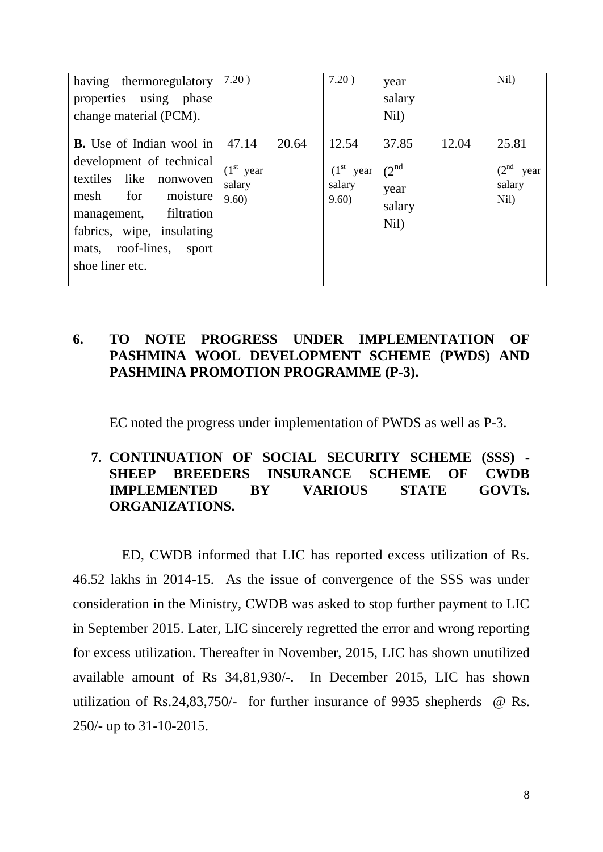| having thermoregulatory<br>properties using phase<br>change material (PCM).                                                                                                                                                       | 7.20)                                   |       | 7.20)                                   | year<br>salary<br>Nil)                               |       | Nil)                                                |
|-----------------------------------------------------------------------------------------------------------------------------------------------------------------------------------------------------------------------------------|-----------------------------------------|-------|-----------------------------------------|------------------------------------------------------|-------|-----------------------------------------------------|
| <b>B.</b> Use of Indian wool in<br>development of technical<br>textiles<br>like<br>nonwoven<br>mesh<br>for<br>moisture<br>filtration<br>management,<br>fabrics, wipe, insulating<br>mats, roof-lines,<br>sport<br>shoe liner etc. | 47.14<br>$(1st$ year<br>salary<br>9.60) | 20.64 | 12.54<br>$(1st$ year<br>salary<br>9.60) | 37.85<br>$(2^{\text{nd}})$<br>year<br>salary<br>Nil) | 12.04 | 25.81<br>(2 <sup>nd</sup><br>year<br>salary<br>Nil) |

### **6. TO NOTE PROGRESS UNDER IMPLEMENTATION OF PASHMINA WOOL DEVELOPMENT SCHEME (PWDS) AND PASHMINA PROMOTION PROGRAMME (P-3).**

EC noted the progress under implementation of PWDS as well as P-3.

### **7. CONTINUATION OF SOCIAL SECURITY SCHEME (SSS) - SHEEP BREEDERS INSURANCE SCHEME OF CWDB IMPLEMENTED BY VARIOUS STATE GOVTs. ORGANIZATIONS.**

ED, CWDB informed that LIC has reported excess utilization of Rs. 46.52 lakhs in 2014-15. As the issue of convergence of the SSS was under consideration in the Ministry, CWDB was asked to stop further payment to LIC in September 2015. Later, LIC sincerely regretted the error and wrong reporting for excess utilization. Thereafter in November, 2015, LIC has shown unutilized available amount of Rs 34,81,930/-. In December 2015, LIC has shown utilization of Rs.24,83,750/- for further insurance of 9935 shepherds @ Rs. 250/- up to 31-10-2015.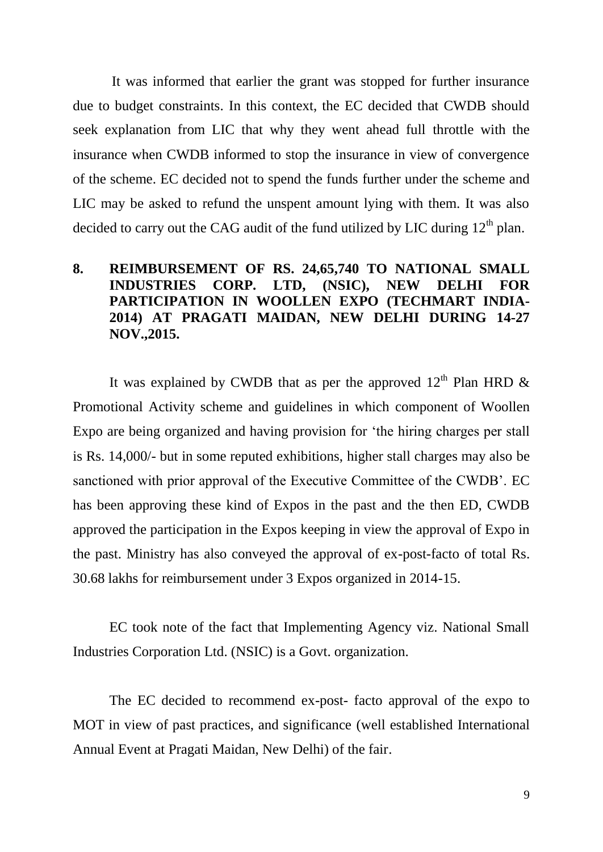It was informed that earlier the grant was stopped for further insurance due to budget constraints. In this context, the EC decided that CWDB should seek explanation from LIC that why they went ahead full throttle with the insurance when CWDB informed to stop the insurance in view of convergence of the scheme. EC decided not to spend the funds further under the scheme and LIC may be asked to refund the unspent amount lying with them. It was also decided to carry out the CAG audit of the fund utilized by LIC during  $12<sup>th</sup>$  plan.

### **8. REIMBURSEMENT OF RS. 24,65,740 TO NATIONAL SMALL INDUSTRIES CORP. LTD, (NSIC), NEW DELHI FOR PARTICIPATION IN WOOLLEN EXPO (TECHMART INDIA-2014) AT PRAGATI MAIDAN, NEW DELHI DURING 14-27 NOV.,2015.**

It was explained by CWDB that as per the approved  $12<sup>th</sup>$  Plan HRD  $\&$ Promotional Activity scheme and guidelines in which component of Woollen Expo are being organized and having provision for "the hiring charges per stall is Rs. 14,000/- but in some reputed exhibitions, higher stall charges may also be sanctioned with prior approval of the Executive Committee of the CWDB". EC has been approving these kind of Expos in the past and the then ED, CWDB approved the participation in the Expos keeping in view the approval of Expo in the past. Ministry has also conveyed the approval of ex-post-facto of total Rs. 30.68 lakhs for reimbursement under 3 Expos organized in 2014-15.

EC took note of the fact that Implementing Agency viz. National Small Industries Corporation Ltd. (NSIC) is a Govt. organization.

The EC decided to recommend ex-post- facto approval of the expo to MOT in view of past practices, and significance (well established International Annual Event at Pragati Maidan, New Delhi) of the fair.